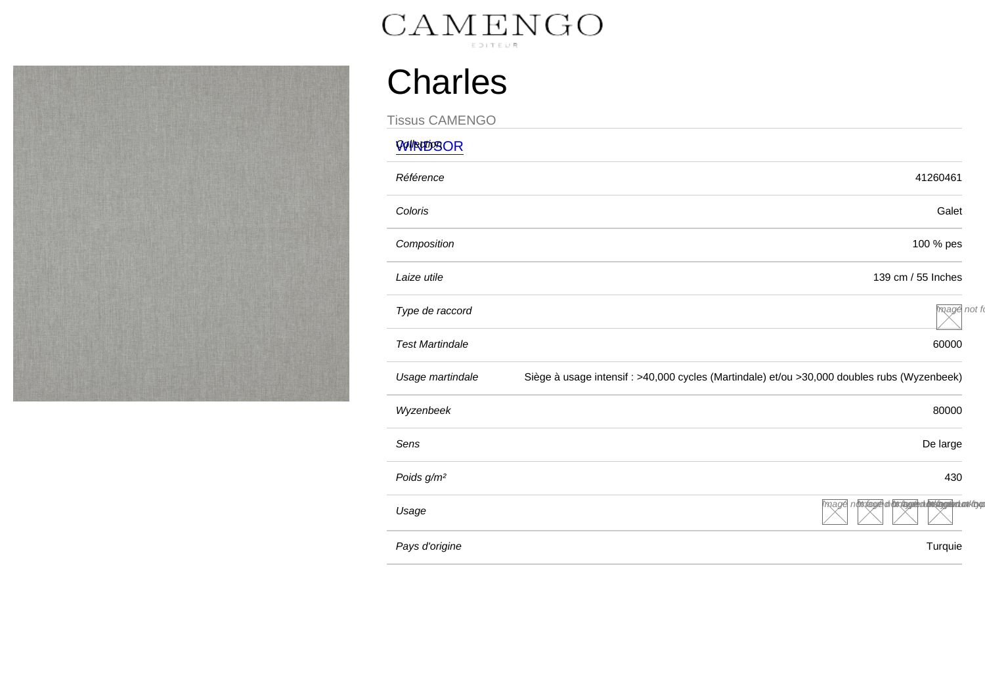## **Charles**

Tissus CAMENGO [WINDSOR](/var/www/marque.texdecor.com/magento/pub/collections/single/view/id/4896/windsor) Référence 41260461 Coloris Galet Composition 100 % pes Laize utile 139 cm / 55 Inches Type de raccord **Image not found of the set of the set of the set of the set of the set of the set of the set of the set of the set of the set of the set of the set of the set of the set of the set of the set of the set of** Test Martindale 60000 Usage martindale Siège à usage intensif : >40,000 cycles (Martindale) et/ou >30,000 doubles rubs (Wyzenbeek) Wyzenbeek 80000 Sens De large in the sense of the sense of the sense of the sense of the sense of the sense of the sense of the sense of the sense of the sense of the sense of the sense of the sense of the sense of the sense of the sense Poids g/m² 430 Usage **Image not found of the unit of the unit of the unit of the unit of the unit of the unit of the unit of the unit of the unit of the unit of the unit of the unit of the unit of the unit of the unit of the unit of the** Pays d'origine Turquie